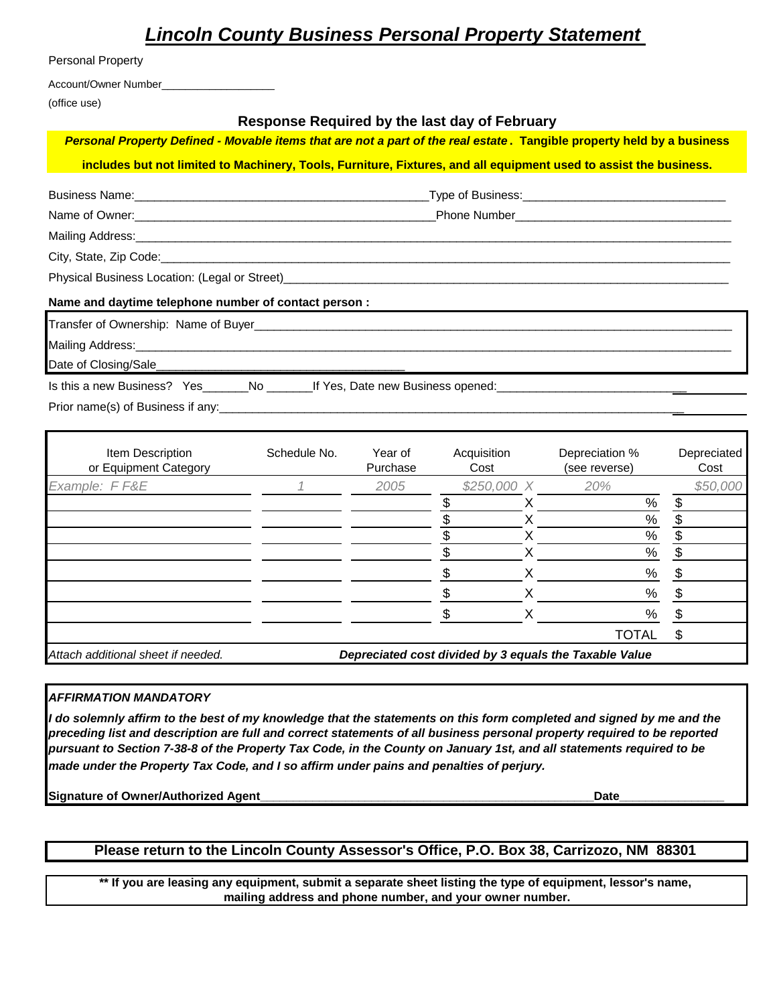# *Lincoln County Business Personal Property Statement*

| Personal Property                                    |                                                                                                                        |
|------------------------------------------------------|------------------------------------------------------------------------------------------------------------------------|
| Account/Owner Number______________________           |                                                                                                                        |
| (office use)                                         |                                                                                                                        |
|                                                      | Response Required by the last day of February                                                                          |
|                                                      | Personal Property Defined - Movable items that are not a part of the real estate. Tangible property held by a business |
|                                                      | includes but not limited to Machinery, Tools, Furniture, Fixtures, and all equipment used to assist the business.      |
|                                                      |                                                                                                                        |
|                                                      |                                                                                                                        |
|                                                      |                                                                                                                        |
|                                                      |                                                                                                                        |
|                                                      |                                                                                                                        |
| Name and daytime telephone number of contact person: |                                                                                                                        |
|                                                      |                                                                                                                        |
|                                                      |                                                                                                                        |
|                                                      |                                                                                                                        |

Is this a new Business? Yes\_\_\_\_\_\_No \_\_\_\_\_\_\_\_If Yes, Date new Business opened:

Prior name(s) of Business if any:

| Item Description<br>or Equipment Category | Schedule No. | Year of<br>Purchase<br>2005 | Acquisition<br>Cost |              | Depreciation %<br>(see reverse)                        | Depreciated<br>Cost |
|-------------------------------------------|--------------|-----------------------------|---------------------|--------------|--------------------------------------------------------|---------------------|
| Example: FF&E                             |              |                             |                     | $$250,000$ X | 20%                                                    | \$50,000            |
|                                           |              |                             |                     |              | %                                                      | \$                  |
|                                           |              |                             |                     |              | $\%$                                                   | \$                  |
|                                           |              |                             |                     |              | %                                                      | \$                  |
|                                           |              |                             |                     |              | $\%$                                                   | \$                  |
|                                           |              |                             |                     |              | %                                                      |                     |
|                                           |              |                             |                     |              | $\%$                                                   | S                   |
|                                           |              |                             |                     |              | %                                                      |                     |
|                                           |              |                             |                     |              | <b>TOTAL</b>                                           | \$                  |
| Attach additional sheet if needed.        |              |                             |                     |              | Depreciated cost divided by 3 equals the Taxable Value |                     |

### *AFFIRMATION MANDATORY*

*I do solemnly affirm to the best of my knowledge that the statements on this form completed and signed by me and the preceding list and description are full and correct statements of all business personal property required to be reported pursuant to Section 7-38-8 of the Property Tax Code, in the County on January 1st, and all statements required to be made under the Property Tax Code, and I so affirm under pains and penalties of perjury.*

**Signature of Owner/Authorized Agent\_\_\_\_\_\_\_\_\_\_\_\_\_\_\_\_\_\_\_\_\_\_\_\_\_\_\_\_\_\_\_\_\_\_\_\_\_\_\_\_\_\_\_\_\_\_\_\_\_\_\_Date\_\_\_\_\_\_\_\_\_\_\_\_\_\_\_\_**

## **Please return to the Lincoln County Assessor's Office, P.O. Box 38, Carrizozo, NM 88301**

**\*\* If you are leasing any equipment, submit a separate sheet listing the type of equipment, lessor's name, mailing address and phone number, and your owner number.**